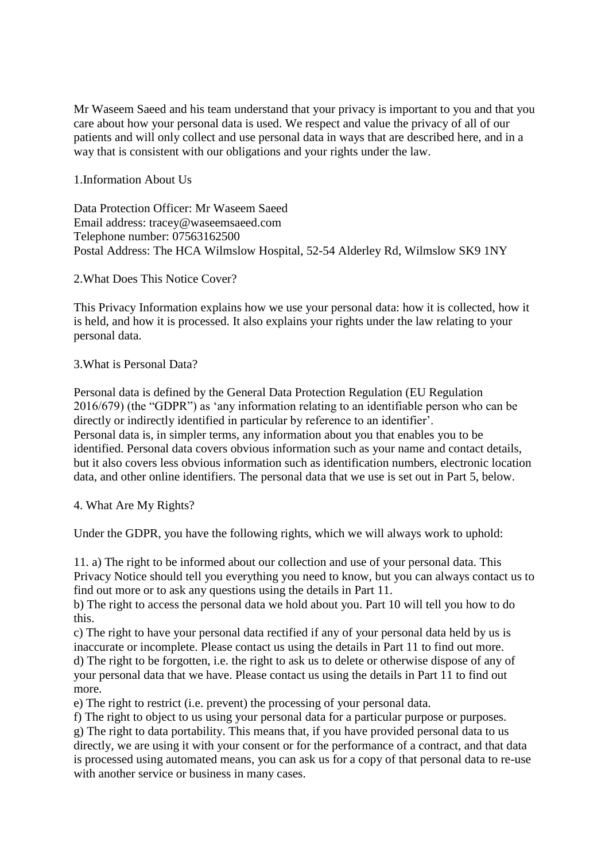Mr Waseem Saeed and his team understand that your privacy is important to you and that you care about how your personal data is used. We respect and value the privacy of all of our patients and will only collect and use personal data in ways that are described here, and in a way that is consistent with our obligations and your rights under the law.

1.Information About Us

Data Protection Officer: Mr Waseem Saeed Email address: tracey@waseemsaeed.com Telephone number: 07563162500 Postal Address: The HCA Wilmslow Hospital, 52-54 Alderley Rd, Wilmslow SK9 1NY

2.What Does This Notice Cover?

This Privacy Information explains how we use your personal data: how it is collected, how it is held, and how it is processed. It also explains your rights under the law relating to your personal data.

## 3.What is Personal Data?

Personal data is defined by the General Data Protection Regulation (EU Regulation 2016/679) (the "GDPR") as 'any information relating to an identifiable person who can be directly or indirectly identified in particular by reference to an identifier'. Personal data is, in simpler terms, any information about you that enables you to be identified. Personal data covers obvious information such as your name and contact details, but it also covers less obvious information such as identification numbers, electronic location data, and other online identifiers. The personal data that we use is set out in Part 5, below.

4. What Are My Rights?

Under the GDPR, you have the following rights, which we will always work to uphold:

11. a) The right to be informed about our collection and use of your personal data. This Privacy Notice should tell you everything you need to know, but you can always contact us to find out more or to ask any questions using the details in Part 11.

b) The right to access the personal data we hold about you. Part 10 will tell you how to do this.

c) The right to have your personal data rectified if any of your personal data held by us is inaccurate or incomplete. Please contact us using the details in Part 11 to find out more. d) The right to be forgotten, i.e. the right to ask us to delete or otherwise dispose of any of your personal data that we have. Please contact us using the details in Part 11 to find out more.

e) The right to restrict (i.e. prevent) the processing of your personal data.

f) The right to object to us using your personal data for a particular purpose or purposes. g) The right to data portability. This means that, if you have provided personal data to us directly, we are using it with your consent or for the performance of a contract, and that data is processed using automated means, you can ask us for a copy of that personal data to re-use with another service or business in many cases.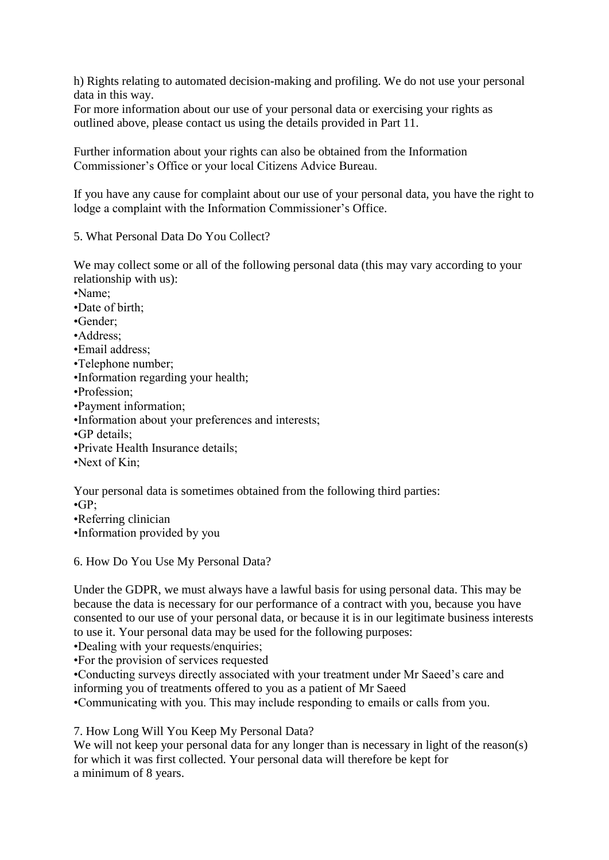h) Rights relating to automated decision-making and profiling. We do not use your personal data in this way.

For more information about our use of your personal data or exercising your rights as outlined above, please contact us using the details provided in Part 11.

Further information about your rights can also be obtained from the Information Commissioner's Office or your local Citizens Advice Bureau.

If you have any cause for complaint about our use of your personal data, you have the right to lodge a complaint with the Information Commissioner's Office.

5. What Personal Data Do You Collect?

We may collect some or all of the following personal data (this may vary according to your relationship with us):

•Name; •Date of birth; •Gender; •Address; •Email address; •Telephone number; •Information regarding your health; •Profession; •Payment information; •Information about your preferences and interests; •GP details; •Private Health Insurance details; •Next of Kin;

Your personal data is sometimes obtained from the following third parties: •GP; •Referring clinician •Information provided by you

6. How Do You Use My Personal Data?

Under the GDPR, we must always have a lawful basis for using personal data. This may be because the data is necessary for our performance of a contract with you, because you have consented to our use of your personal data, or because it is in our legitimate business interests to use it. Your personal data may be used for the following purposes:

•Dealing with your requests/enquiries;

•For the provision of services requested

•Conducting surveys directly associated with your treatment under Mr Saeed's care and informing you of treatments offered to you as a patient of Mr Saeed

•Communicating with you. This may include responding to emails or calls from you.

7. How Long Will You Keep My Personal Data?

We will not keep your personal data for any longer than is necessary in light of the reason(s) for which it was first collected. Your personal data will therefore be kept for a minimum of 8 years.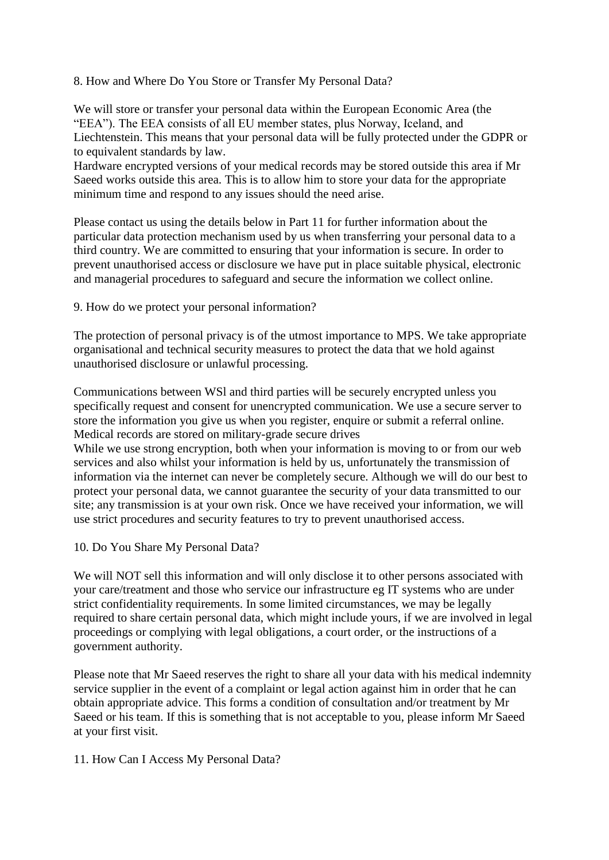## 8. How and Where Do You Store or Transfer My Personal Data?

We will store or transfer your personal data within the European Economic Area (the "EEA"). The EEA consists of all EU member states, plus Norway, Iceland, and Liechtenstein. This means that your personal data will be fully protected under the GDPR or to equivalent standards by law.

Hardware encrypted versions of your medical records may be stored outside this area if Mr Saeed works outside this area. This is to allow him to store your data for the appropriate minimum time and respond to any issues should the need arise.

Please contact us using the details below in Part 11 for further information about the particular data protection mechanism used by us when transferring your personal data to a third country. We are committed to ensuring that your information is secure. In order to prevent unauthorised access or disclosure we have put in place suitable physical, electronic and managerial procedures to safeguard and secure the information we collect online.

9. How do we protect your personal information?

The protection of personal privacy is of the utmost importance to MPS. We take appropriate organisational and technical security measures to protect the data that we hold against unauthorised disclosure or unlawful processing.

Communications between WSl and third parties will be securely encrypted unless you specifically request and consent for unencrypted communication. We use a secure server to store the information you give us when you register, enquire or submit a referral online. Medical records are stored on military-grade secure drives

While we use strong encryption, both when your information is moving to or from our web services and also whilst your information is held by us, unfortunately the transmission of information via the internet can never be completely secure. Although we will do our best to protect your personal data, we cannot guarantee the security of your data transmitted to our site; any transmission is at your own risk. Once we have received your information, we will use strict procedures and security features to try to prevent unauthorised access.

10. Do You Share My Personal Data?

We will NOT sell this information and will only disclose it to other persons associated with your care/treatment and those who service our infrastructure eg IT systems who are under strict confidentiality requirements. In some limited circumstances, we may be legally required to share certain personal data, which might include yours, if we are involved in legal proceedings or complying with legal obligations, a court order, or the instructions of a government authority.

Please note that Mr Saeed reserves the right to share all your data with his medical indemnity service supplier in the event of a complaint or legal action against him in order that he can obtain appropriate advice. This forms a condition of consultation and/or treatment by Mr Saeed or his team. If this is something that is not acceptable to you, please inform Mr Saeed at your first visit.

11. How Can I Access My Personal Data?